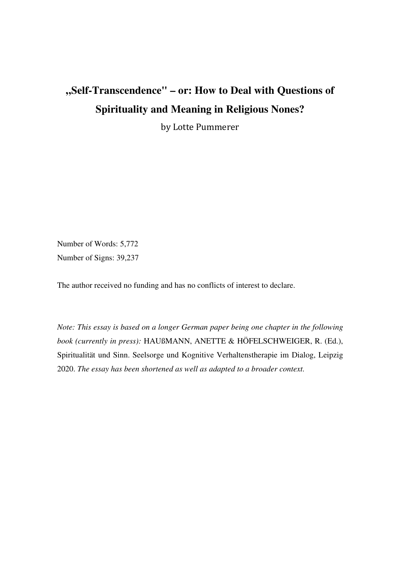# **"Self-Transcendence" – or: How to Deal with Questions of Spirituality and Meaning in Religious Nones?**

by Lotte Pummerer

Number of Words: 5,772 Number of Signs: 39,237

The author received no funding and has no conflicts of interest to declare.

*Note: This essay is based on a longer German paper being one chapter in the following book (currently in press):* HAUßMANN, ANETTE & HÖFELSCHWEIGER, R. (Ed.), Spiritualität und Sinn. Seelsorge und Kognitive Verhaltenstherapie im Dialog, Leipzig 2020. *The essay has been shortened as well as adapted to a broader context.*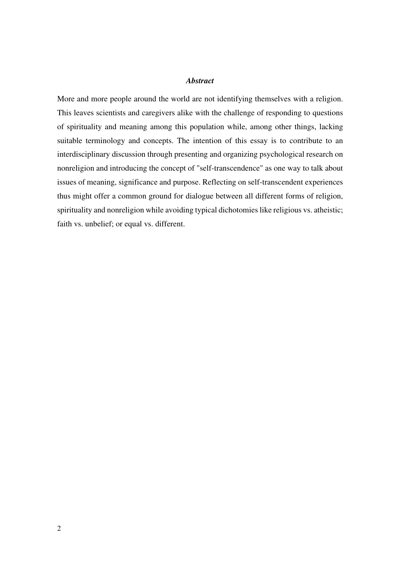#### *Abstract*

More and more people around the world are not identifying themselves with a religion. This leaves scientists and caregivers alike with the challenge of responding to questions of spirituality and meaning among this population while, among other things, lacking suitable terminology and concepts. The intention of this essay is to contribute to an interdisciplinary discussion through presenting and organizing psychological research on nonreligion and introducing the concept of "self-transcendence" as one way to talk about issues of meaning, significance and purpose. Reflecting on self-transcendent experiences thus might offer a common ground for dialogue between all different forms of religion, spirituality and nonreligion while avoiding typical dichotomies like religious vs. atheistic; faith vs. unbelief; or equal vs. different.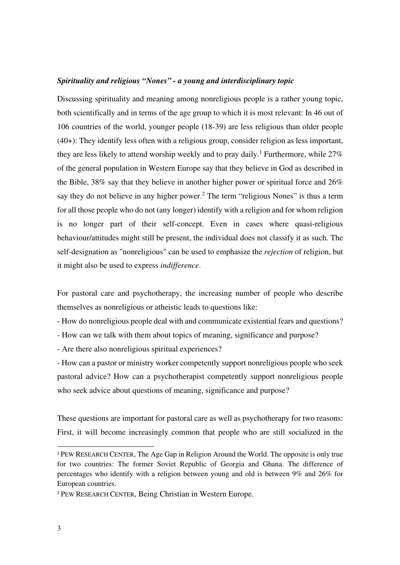#### *Spirituality and religious "Nones" - a young and interdisciplinary topic*

Discussing spirituality and meaning among nonreligious people is a rather young topic, both scientifically and in terms of the age group to which it is most relevant: In 46 out of 106 countries of the world, younger people (18-39) are less religious than older people (40+): They identify less often with a religious group, consider religion as less important, they are less likely to attend worship weekly and to pray daily.<sup>1</sup> Furthermore, while  $27\%$ of the general population in Western Europe say that they believe in God as described in the Bible, 38% say that they believe in another higher power or spiritual force and 26% say they do not believe in any higher power.<sup>2</sup> The term "religious Nones" is thus a term for all those people who do not (any longer) identify with a religion and for whom religion is no longer part of their self-concept. Even in cases where quasi-religious behaviour/attitudes might still be present, the individual does not classify it as such. The self-designation as "nonreligious" can be used to emphasize the *rejection* of religion, but it might also be used to express *indifference*.

For pastoral care and psychotherapy, the increasing number of people who describe themselves as nonreligious or atheistic leads to questions like:

- How do nonreligious people deal with and communicate existential fears and questions?

- How can we talk with them about topics of meaning, significance and purpose?

- Are there also nonreligious spiritual experiences?

- How can a pastor or ministry worker competently support nonreligious people who seek pastoral advice? How can a psychotherapist competently support nonreligious people who seek advice about questions of meaning, significance and purpose?

These questions are important for pastoral care as well as psychotherapy for two reasons: First, it will become increasingly common that people who are still socialized in the

<sup>1</sup> PEW RESEARCH CENTER, The Age Gap in Religion Around the World. The opposite is only true for two countries: The former Soviet Republic of Georgia and Ghana. The difference of percentages who identify with a religion between young and old is between 9% and 26% for European countries.

<sup>2</sup> PEW RESEARCH CENTER, Being Christian in Western Europe.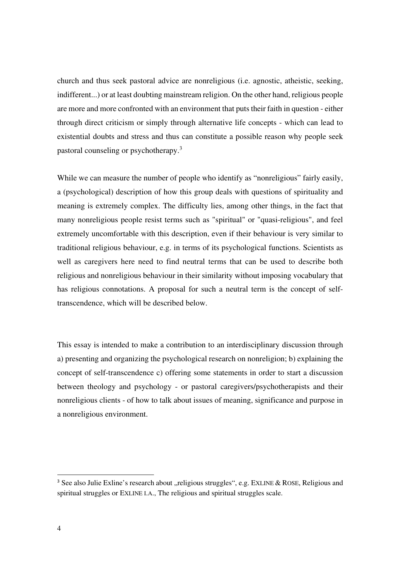church and thus seek pastoral advice are nonreligious (i.e. agnostic, atheistic, seeking, indifferent...) or at least doubting mainstream religion. On the other hand, religious people are more and more confronted with an environment that puts their faith in question - either through direct criticism or simply through alternative life concepts - which can lead to existential doubts and stress and thus can constitute a possible reason why people seek pastoral counseling or psychotherapy.<sup>3</sup>

While we can measure the number of people who identify as "nonreligious" fairly easily, a (psychological) description of how this group deals with questions of spirituality and meaning is extremely complex. The difficulty lies, among other things, in the fact that many nonreligious people resist terms such as "spiritual" or "quasi-religious", and feel extremely uncomfortable with this description, even if their behaviour is very similar to traditional religious behaviour, e.g. in terms of its psychological functions. Scientists as well as caregivers here need to find neutral terms that can be used to describe both religious and nonreligious behaviour in their similarity without imposing vocabulary that has religious connotations. A proposal for such a neutral term is the concept of selftranscendence, which will be described below.

This essay is intended to make a contribution to an interdisciplinary discussion through a) presenting and organizing the psychological research on nonreligion; b) explaining the concept of self-transcendence c) offering some statements in order to start a discussion between theology and psychology - or pastoral caregivers/psychotherapists and their nonreligious clients - of how to talk about issues of meaning, significance and purpose in a nonreligious environment.

<sup>&</sup>lt;sup>3</sup> See also Julie Exline's research about "religious struggles", e.g. EXLINE & ROSE, Religious and spiritual struggles or EXLINE I.A., The religious and spiritual struggles scale.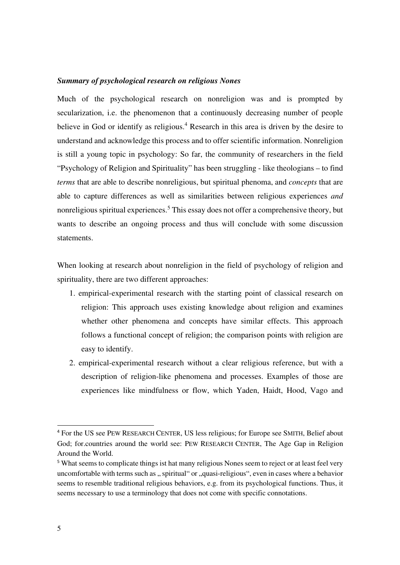#### *Summary of psychological research on religious Nones*

Much of the psychological research on nonreligion was and is prompted by secularization, i.e. the phenomenon that a continuously decreasing number of people believe in God or identify as religious.<sup>4</sup> Research in this area is driven by the desire to understand and acknowledge this process and to offer scientific information. Nonreligion is still a young topic in psychology: So far, the community of researchers in the field "Psychology of Religion and Spirituality" has been struggling - like theologians – to find *terms* that are able to describe nonreligious, but spiritual phenoma, and *concepts* that are able to capture differences as well as similarities between religious experiences *and* nonreligious spiritual experiences.<sup>5</sup> This essay does not offer a comprehensive theory, but wants to describe an ongoing process and thus will conclude with some discussion statements.

When looking at research about nonreligion in the field of psychology of religion and spirituality, there are two different approaches:

- 1. empirical-experimental research with the starting point of classical research on religion: This approach uses existing knowledge about religion and examines whether other phenomena and concepts have similar effects. This approach follows a functional concept of religion; the comparison points with religion are easy to identify.
- 2. empirical-experimental research without a clear religious reference, but with a description of religion-like phenomena and processes. Examples of those are experiences like mindfulness or flow, which Yaden, Haidt, Hood, Vago and

<sup>4</sup> For the US see PEW RESEARCH CENTER, US less religious; for Europe see SMITH, Belief about God; for.countries around the world see: PEW RESEARCH CENTER, The Age Gap in Religion Around the World.

<sup>&</sup>lt;sup>5</sup> What seems to complicate things ist hat many religious Nones seem to reject or at least feel very uncomfortable with terms such as , spiritual " or , quasi-religious", even in cases where a behavior seems to resemble traditional religious behaviors, e.g. from its psychological functions. Thus, it seems necessary to use a terminology that does not come with specific connotations.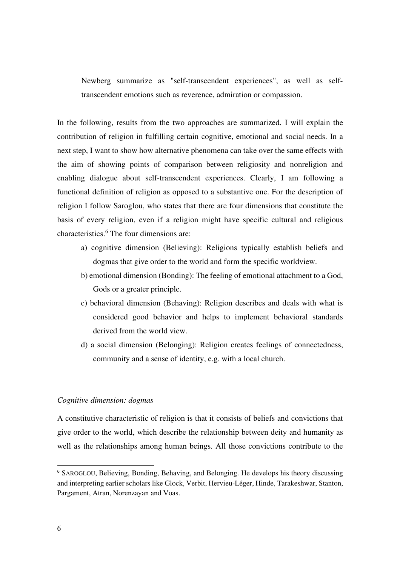Newberg summarize as "self-transcendent experiences", as well as selftranscendent emotions such as reverence, admiration or compassion.

In the following, results from the two approaches are summarized. I will explain the contribution of religion in fulfilling certain cognitive, emotional and social needs. In a next step, I want to show how alternative phenomena can take over the same effects with the aim of showing points of comparison between religiosity and nonreligion and enabling dialogue about self-transcendent experiences. Clearly, I am following a functional definition of religion as opposed to a substantive one. For the description of religion I follow Saroglou, who states that there are four dimensions that constitute the basis of every religion, even if a religion might have specific cultural and religious characteristics.<sup>6</sup> The four dimensions are:

- a) cognitive dimension (Believing): Religions typically establish beliefs and dogmas that give order to the world and form the specific worldview.
- b) emotional dimension (Bonding): The feeling of emotional attachment to a God, Gods or a greater principle.
- c) behavioral dimension (Behaving): Religion describes and deals with what is considered good behavior and helps to implement behavioral standards derived from the world view.
- d) a social dimension (Belonging): Religion creates feelings of connectedness, community and a sense of identity, e.g. with a local church.

## *Cognitive dimension: dogmas*

A constitutive characteristic of religion is that it consists of beliefs and convictions that give order to the world, which describe the relationship between deity and humanity as well as the relationships among human beings. All those convictions contribute to the

<sup>&</sup>lt;sup>6</sup> SAROGLOU, Believing, Bonding, Behaving, and Belonging. He develops his theory discussing and interpreting earlier scholars like Glock, Verbit, Hervieu-Léger, Hinde, Tarakeshwar, Stanton, Pargament, Atran, Norenzayan and Voas.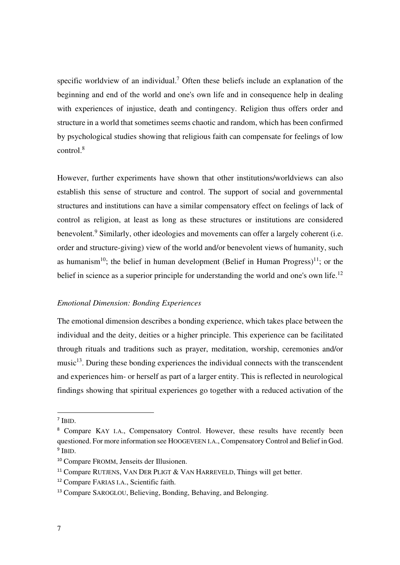specific worldview of an individual.<sup>7</sup> Often these beliefs include an explanation of the beginning and end of the world and one's own life and in consequence help in dealing with experiences of injustice, death and contingency. Religion thus offers order and structure in a world that sometimes seems chaotic and random, which has been confirmed by psychological studies showing that religious faith can compensate for feelings of low control.<sup>8</sup>

However, further experiments have shown that other institutions/worldviews can also establish this sense of structure and control. The support of social and governmental structures and institutions can have a similar compensatory effect on feelings of lack of control as religion, at least as long as these structures or institutions are considered benevolent.<sup>9</sup> Similarly, other ideologies and movements can offer a largely coherent (i.e. order and structure-giving) view of the world and/or benevolent views of humanity, such as humanism<sup>10</sup>; the belief in human development (Belief in Human Progress)<sup>11</sup>; or the belief in science as a superior principle for understanding the world and one's own life.<sup>12</sup>

## *Emotional Dimension: Bonding Experiences*

The emotional dimension describes a bonding experience, which takes place between the individual and the deity, deities or a higher principle. This experience can be facilitated through rituals and traditions such as prayer, meditation, worship, ceremonies and/or music $^{13}$ . During these bonding experiences the individual connects with the transcendent and experiences him- or herself as part of a larger entity. This is reflected in neurological findings showing that spiritual experiences go together with a reduced activation of the

<sup>7</sup> IBID.

<sup>&</sup>lt;sup>8</sup> Compare KAY I.A., Compensatory Control. However, these results have recently been questioned. For more information see HOOGEVEEN I.A., Compensatory Control and Belief in God. <sup>9</sup> IBID.

<sup>10</sup> Compare FROMM, Jenseits der Illusionen.

<sup>&</sup>lt;sup>11</sup> Compare RUTJENS, VAN DER PLIGT & VAN HARREVELD, Things will get better.

<sup>12</sup> Compare FARIAS I.A., Scientific faith.

<sup>13</sup> Compare SAROGLOU, Believing, Bonding, Behaving, and Belonging.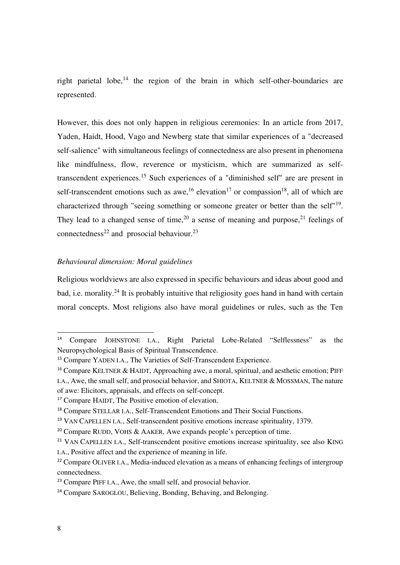right parietal lobe,<sup>14</sup> the region of the brain in which self-other-boundaries are represented.

However, this does not only happen in religious ceremonies: In an article from 2017, Yaden, Haidt, Hood, Vago and Newberg state that similar experiences of a "decreased self-salience" with simultaneous feelings of connectedness are also present in phenomena like mindfulness, flow, reverence or mysticism, which are summarized as selftranscendent experiences.<sup>15</sup> Such experiences of a "diminished self" are are present in self-transcendent emotions such as awe,<sup>16</sup> elevation<sup>17</sup> or compassion<sup>18</sup>, all of which are characterized through "seeing something or someone greater or better than the self"<sup>19</sup>. They lead to a changed sense of time,<sup>20</sup> a sense of meaning and purpose,<sup>21</sup> feelings of connectedness<sup>22</sup> and prosocial behaviour.<sup>23</sup>

# *Behavioural dimension: Moral guidelines*

Religious worldviews are also expressed in specific behaviours and ideas about good and bad, i.e. morality.<sup>24</sup> It is probably intuitive that religiosity goes hand in hand with certain moral concepts. Most religions also have moral guidelines or rules, such as the Ten

<sup>14</sup> Compare JOHNSTONE I.A., Right Parietal Lobe-Related "Selflessness" as the Neuropsychological Basis of Spiritual Transcendence.

<sup>&</sup>lt;sup>15</sup> Compare YADEN I.A., The Varieties of Self-Transcendent Experience.

<sup>&</sup>lt;sup>16</sup> Compare KELTNER & HAIDT, Approaching awe, a moral, spiritual, and aesthetic emotion; PIFF I.A., Awe, the small self, and prosocial behavior, and SHIOTA, KELTNER & MOSSMAN, The nature of awe: Elicitors, appraisals, and effects on self-concept.

<sup>&</sup>lt;sup>17</sup> Compare HAIDT, The Positive emotion of elevation.

<sup>18</sup> Compare STELLAR I.A., Self-Transcendent Emotions and Their Social Functions.

<sup>&</sup>lt;sup>19</sup> VAN CAPELLEN I.A., Self-transcendent positive emotions increase spirituality, 1379.

<sup>&</sup>lt;sup>20</sup> Compare RUDD, VOHS & AAKER, Awe expands people's perception of time.

<sup>&</sup>lt;sup>21</sup> VAN CAPELLEN I.A., Self-transcendent positive emotions increase spirituality, see also KING I.A., Positive affect and the experience of meaning in life.

<sup>&</sup>lt;sup>22</sup> Compare OLIVER I.A., Media-induced elevation as a means of enhancing feelings of intergroup connectedness.

<sup>&</sup>lt;sup>23</sup> Compare PIFF I.A., Awe, the small self, and prosocial behavior.

<sup>&</sup>lt;sup>24</sup> Compare SAROGLOU, Believing, Bonding, Behaving, and Belonging.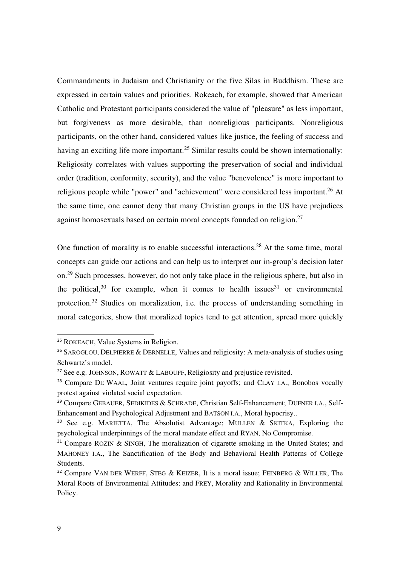Commandments in Judaism and Christianity or the five Silas in Buddhism. These are expressed in certain values and priorities. Rokeach, for example, showed that American Catholic and Protestant participants considered the value of "pleasure" as less important, but forgiveness as more desirable, than nonreligious participants. Nonreligious participants, on the other hand, considered values like justice, the feeling of success and having an exciting life more important.<sup>25</sup> Similar results could be shown internationally: Religiosity correlates with values supporting the preservation of social and individual order (tradition, conformity, security), and the value "benevolence" is more important to religious people while "power" and "achievement" were considered less important.<sup>26</sup> At the same time, one cannot deny that many Christian groups in the US have prejudices against homosexuals based on certain moral concepts founded on religion. $27$ 

One function of morality is to enable successful interactions.<sup>28</sup> At the same time, moral concepts can guide our actions and can help us to interpret our in-group's decision later on.<sup>29</sup> Such processes, however, do not only take place in the religious sphere, but also in the political,  $30$  for example, when it comes to health issues  $31$  or environmental protection.<sup>32</sup> Studies on moralization, i.e. the process of understanding something in moral categories, show that moralized topics tend to get attention, spread more quickly

<sup>25</sup> ROKEACH, Value Systems in Religion.

<sup>&</sup>lt;sup>26</sup> SAROGLOU, DELPIERRE & DERNELLE, Values and religiosity: A meta-analysis of studies using Schwartz's model.

<sup>&</sup>lt;sup>27</sup> See e.g. JOHNSON, ROWATT  $\&$  LABOUFF, Religiosity and prejustice revisited.

<sup>&</sup>lt;sup>28</sup> Compare DE WAAL, Joint ventures require joint payoffs; and CLAY I.A., Bonobos vocally protest against violated social expectation.

<sup>&</sup>lt;sup>29</sup> Compare GEBAUER, SEDIKIDES & SCHRADE, Christian Self-Enhancement; DUFNER I.A., Self-Enhancement and Psychological Adjustment and BATSON I.A., Moral hypocrisy..

<sup>&</sup>lt;sup>30</sup> See e.g. MARIETTA, The Absolutist Advantage; MULLEN & SKITKA, Exploring the psychological underpinnings of the moral mandate effect and RYAN, No Compromise.

<sup>&</sup>lt;sup>31</sup> Compare ROZIN & SINGH, The moralization of cigarette smoking in the United States; and MAHONEY I.A., The Sanctification of the Body and Behavioral Health Patterns of College Students.

<sup>&</sup>lt;sup>32</sup> Compare VAN DER WERFF, STEG & KEIZER, It is a moral issue; FEINBERG & WILLER, The Moral Roots of Environmental Attitudes; and FREY, Morality and Rationality in Environmental Policy.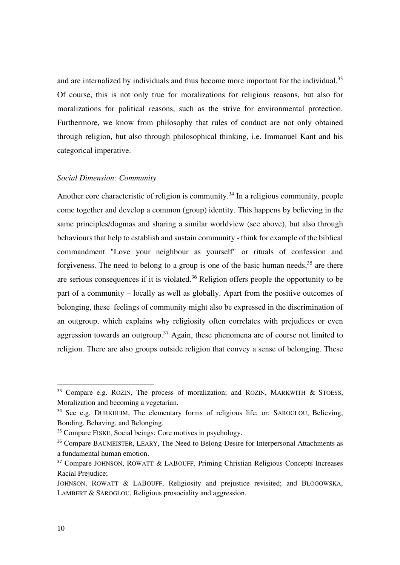and are internalized by individuals and thus become more important for the individual.<sup>33</sup> Of course, this is not only true for moralizations for religious reasons, but also for moralizations for political reasons, such as the strive for environmental protection. Furthermore, we know from philosophy that rules of conduct are not only obtained through religion, but also through philosophical thinking, i.e. Immanuel Kant and his categorical imperative.

## *Social Dimension: Community*

Another core characteristic of religion is community.<sup>34</sup> In a religious community, people come together and develop a common (group) identity. This happens by believing in the same principles/dogmas and sharing a similar worldview (see above), but also through behaviours that help to establish and sustain community - think for example of the biblical commandment "Love your neighbour as yourself" or rituals of confession and forgiveness. The need to belong to a group is one of the basic human needs,  $35$  are there are serious consequences if it is violated. $36$  Religion offers people the opportunity to be part of a community – locally as well as globally. Apart from the positive outcomes of belonging, these feelings of community might also be expressed in the discrimination of an outgroup, which explains why religiosity often correlates with prejudices or even aggression towards an outgroup.<sup>37</sup> Again, these phenomena are of course not limited to religion. There are also groups outside religion that convey a sense of belonging. These

<sup>&</sup>lt;sup>33</sup> Compare e.g. ROZIN, The process of moralization; and ROZIN, MARKWITH & STOESS, Moralization and becoming a vegetarian.

<sup>&</sup>lt;sup>34</sup> See e.g. DURKHEIM, The elementary forms of religious life; or: SAROGLOU, Believing, Bonding, Behaving, and Belonging.

<sup>35</sup> Compare FISKE, Social beings: Core motives in psychology.

<sup>&</sup>lt;sup>36</sup> Compare BAUMEISTER, LEARY, The Need to Belong-Desire for Interpersonal Attachments as a fundamental human emotion.

<sup>&</sup>lt;sup>37</sup> Compare JOHNSON, ROWATT & LABOUFF, Priming Christian Religious Concepts Increases Racial Prejudice;

JOHNSON, ROWATT & LABOUFF, Religiosity and prejustice revisited; and BLOGOWSKA, LAMBERT & SAROGLOU, Religious prosociality and aggression.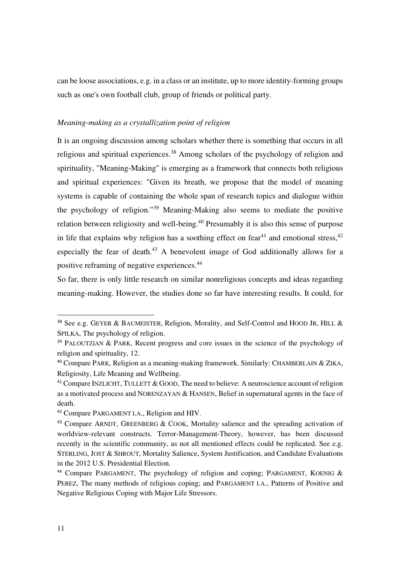can be loose associations, e.g. in a class or an institute, up to more identity-forming groups such as one's own football club, group of friends or political party.

### *Meaning-making as a crystallization point of religion*

It is an ongoing discussion among scholars whether there is something that occurs in all religious and spiritual experiences.<sup>38</sup> Among scholars of the psychology of religion and spirituality, "Meaning-Making" is emerging as a framework that connects both religious and spiritual experiences: "Given its breath, we propose that the model of meaning systems is capable of containing the whole span of research topics and dialogue within the psychology of religion."<sup>39</sup> Meaning-Making also seems to mediate the positive relation between religiosity and well-being.<sup>40</sup> Presumably it is also this sense of purpose in life that explains why religion has a soothing effect on fear<sup>41</sup> and emotional stress,  $42$ especially the fear of death.<sup>43</sup> A benevolent image of God additionally allows for a positive reframing of negative experiences.<sup>44</sup>

So far, there is only little research on similar nonreligious concepts and ideas regarding meaning-making. However, the studies done so far have interesting results. It could, for

<sup>&</sup>lt;sup>38</sup> See e.g. GEYER & BAUMEISTER, Religion, Morality, and Self-Control and HOOD JR, HILL & SPILKA, The psychology of religion.

<sup>&</sup>lt;sup>39</sup> PALOUTZIAN & PARK, Recent progress and core issues in the science of the psychology of religion and spirituality, 12.

 $40$  Compare PARK, Religion as a meaning-making framework. Similarly: CHAMBERLAIN & ZIKA, Religiosity, Life Meaning and Wellbeing.

<sup>&</sup>lt;sup>41</sup> Compare INZLICHT, TULLETT & GOOD, The need to believe: A neuroscience account of religion as a motivated process and NORENZAYAN & HANSEN, Belief in supernatural agents in the face of death.

<sup>42</sup> Compare PARGAMENT I.A., Religion and HIV.

<sup>43</sup> Compare ARNDT, GREENBERG & COOK, Mortality salience and the spreading activation of worldview-relevant constructs. Terror-Management-Theory, however, has been discussed recently in the scientific community, as not all mentioned effects could be replicated. See e.g. STERLING, JOST & SHROUT, Mortality Salience, System Justification, and Candidate Evaluations in the 2012 U.S. Presidential Election.

<sup>44</sup> Compare PARGAMENT, The psychology of religion and coping; PARGAMENT, KOENIG & PEREZ, The many methods of religious coping; and PARGAMENT I.A., Patterns of Positive and Negative Religious Coping with Major Life Stressors.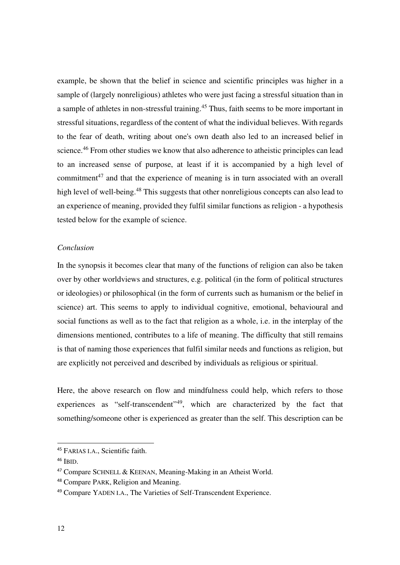example, be shown that the belief in science and scientific principles was higher in a sample of (largely nonreligious) athletes who were just facing a stressful situation than in a sample of athletes in non-stressful training.<sup>45</sup> Thus, faith seems to be more important in stressful situations, regardless of the content of what the individual believes. With regards to the fear of death, writing about one's own death also led to an increased belief in science.<sup>46</sup> From other studies we know that also adherence to atheistic principles can lead to an increased sense of purpose, at least if it is accompanied by a high level of commitment $^{47}$  and that the experience of meaning is in turn associated with an overall high level of well-being.<sup>48</sup> This suggests that other nonreligious concepts can also lead to an experience of meaning, provided they fulfil similar functions as religion - a hypothesis tested below for the example of science.

# *Conclusion*

In the synopsis it becomes clear that many of the functions of religion can also be taken over by other worldviews and structures, e.g. political (in the form of political structures or ideologies) or philosophical (in the form of currents such as humanism or the belief in science) art. This seems to apply to individual cognitive, emotional, behavioural and social functions as well as to the fact that religion as a whole, i.e. in the interplay of the dimensions mentioned, contributes to a life of meaning. The difficulty that still remains is that of naming those experiences that fulfil similar needs and functions as religion, but are explicitly not perceived and described by individuals as religious or spiritual.

Here, the above research on flow and mindfulness could help, which refers to those experiences as "self-transcendent"<sup>49</sup>, which are characterized by the fact that something/someone other is experienced as greater than the self. This description can be

<sup>45</sup> FARIAS I.A., Scientific faith.

<sup>46</sup> IBID.

<sup>47</sup> Compare SCHNELL & KEENAN, Meaning-Making in an Atheist World.

<sup>48</sup> Compare PARK, Religion and Meaning.

<sup>49</sup> Compare YADEN I.A., The Varieties of Self-Transcendent Experience.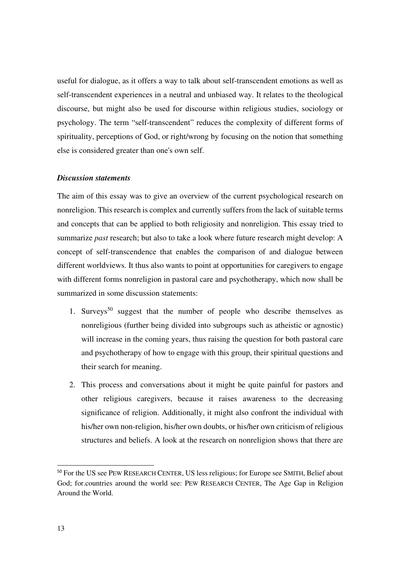useful for dialogue, as it offers a way to talk about self-transcendent emotions as well as self-transcendent experiences in a neutral and unbiased way. It relates to the theological discourse, but might also be used for discourse within religious studies, sociology or psychology. The term "self-transcendent" reduces the complexity of different forms of spirituality, perceptions of God, or right/wrong by focusing on the notion that something else is considered greater than one's own self.

## *Discussion statements*

The aim of this essay was to give an overview of the current psychological research on nonreligion. This research is complex and currently suffers from the lack of suitable terms and concepts that can be applied to both religiosity and nonreligion. This essay tried to summarize *past* research; but also to take a look where future research might develop: A concept of self-transcendence that enables the comparison of and dialogue between different worldviews. It thus also wants to point at opportunities for caregivers to engage with different forms nonreligion in pastoral care and psychotherapy, which now shall be summarized in some discussion statements:

- 1. Surveys<sup>50</sup> suggest that the number of people who describe themselves as nonreligious (further being divided into subgroups such as atheistic or agnostic) will increase in the coming years, thus raising the question for both pastoral care and psychotherapy of how to engage with this group, their spiritual questions and their search for meaning.
- 2. This process and conversations about it might be quite painful for pastors and other religious caregivers, because it raises awareness to the decreasing significance of religion. Additionally, it might also confront the individual with his/her own non-religion, his/her own doubts, or his/her own criticism of religious structures and beliefs. A look at the research on nonreligion shows that there are

<sup>50</sup> For the US see PEW RESEARCH CENTER, US less religious; for Europe see SMITH, Belief about God; for.countries around the world see: PEW RESEARCH CENTER, The Age Gap in Religion Around the World.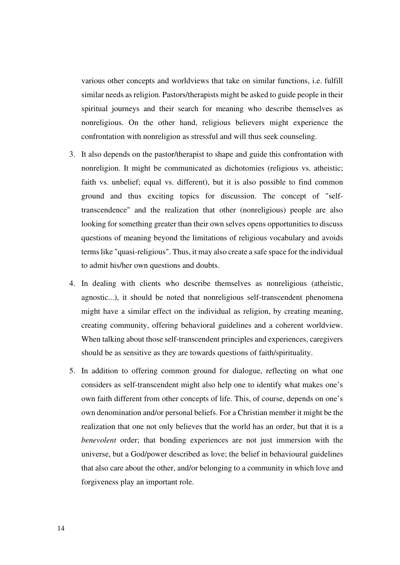various other concepts and worldviews that take on similar functions, i.e. fulfill similar needs as religion. Pastors/therapists might be asked to guide people in their spiritual journeys and their search for meaning who describe themselves as nonreligious. On the other hand, religious believers might experience the confrontation with nonreligion as stressful and will thus seek counseling.

- 3. It also depends on the pastor/therapist to shape and guide this confrontation with nonreligion. It might be communicated as dichotomies (religious vs. atheistic; faith vs. unbelief; equal vs. different), but it is also possible to find common ground and thus exciting topics for discussion. The concept of "selftranscendence" and the realization that other (nonreligious) people are also looking for something greater than their own selves opens opportunities to discuss questions of meaning beyond the limitations of religious vocabulary and avoids terms like "quasi-religious". Thus, it may also create a safe space for the individual to admit his/her own questions and doubts.
- 4. In dealing with clients who describe themselves as nonreligious (atheistic, agnostic...), it should be noted that nonreligious self-transcendent phenomena might have a similar effect on the individual as religion, by creating meaning, creating community, offering behavioral guidelines and a coherent worldview. When talking about those self-transcendent principles and experiences, caregivers should be as sensitive as they are towards questions of faith/spirituality.
- 5. In addition to offering common ground for dialogue, reflecting on what one considers as self-transcendent might also help one to identify what makes one's own faith different from other concepts of life. This, of course, depends on one's own denomination and/or personal beliefs. For a Christian member it might be the realization that one not only believes that the world has an order, but that it is a *benevolent* order; that bonding experiences are not just immersion with the universe, but a God/power described as love; the belief in behavioural guidelines that also care about the other, and/or belonging to a community in which love and forgiveness play an important role.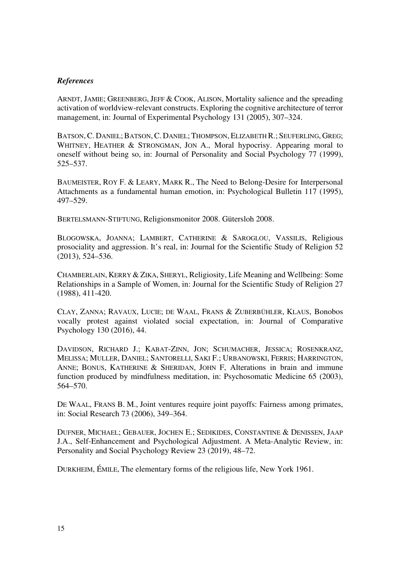# *References*

ARNDT, JAMIE; GREENBERG, JEFF & COOK, ALISON, Mortality salience and the spreading activation of worldview-relevant constructs. Exploring the cognitive architecture of terror management, in: Journal of Experimental Psychology 131 (2005), 307–324.

BATSON, C. DANIEL; BATSON, C. DANIEL; THOMPSON, ELIZABETH R.; SEUFERLING, GREG; WHITNEY, HEATHER & STRONGMAN, JON A., Moral hypocrisy. Appearing moral to oneself without being so, in: Journal of Personality and Social Psychology 77 (1999), 525–537.

BAUMEISTER, ROY F. & LEARY, MARK R., The Need to Belong-Desire for Interpersonal Attachments as a fundamental human emotion, in: Psychological Bulletin 117 (1995), 497–529.

BERTELSMANN-STIFTUNG, Religionsmonitor 2008. Gütersloh 2008.

BLOGOWSKA, JOANNA; LAMBERT, CATHERINE & SAROGLOU, VASSILIS, Religious prosociality and aggression. It's real, in: Journal for the Scientific Study of Religion 52 (2013), 524–536.

CHAMBERLAIN, KERRY & ZIKA, SHERYL, Religiosity, Life Meaning and Wellbeing: Some Relationships in a Sample of Women, in: Journal for the Scientific Study of Religion 27 (1988), 411-420.

CLAY, ZANNA; RAVAUX, LUCIE; DE WAAL, FRANS & ZUBERBÜHLER, KLAUS, Bonobos vocally protest against violated social expectation, in: Journal of Comparative Psychology 130 (2016), 44.

DAVIDSON, RICHARD J.; KABAT-ZINN, JON; SCHUMACHER, JESSICA; ROSENKRANZ, MELISSA; MULLER, DANIEL; SANTORELLI, SAKI F.; URBANOWSKI, FERRIS; HARRINGTON, ANNE: BONUS, KATHERINE & SHERIDAN, JOHN F. Alterations in brain and immune function produced by mindfulness meditation, in: Psychosomatic Medicine 65 (2003), 564–570.

DE WAAL, FRANS B. M., Joint ventures require joint payoffs: Fairness among primates, in: Social Research 73 (2006), 349–364.

DUFNER, MICHAEL; GEBAUER, JOCHEN E.; SEDIKIDES, CONSTANTINE & DENISSEN, JAAP J.A., Self-Enhancement and Psychological Adjustment. A Meta-Analytic Review, in: Personality and Social Psychology Review 23 (2019), 48–72.

DURKHEIM, ÉMILE, The elementary forms of the religious life, New York 1961.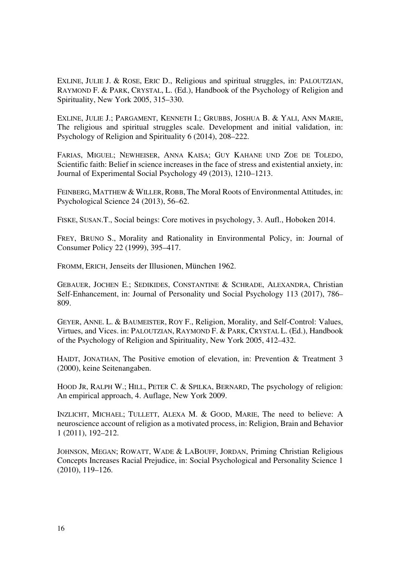EXLINE, JULIE J. & ROSE, ERIC D., Religious and spiritual struggles, in: PALOUTZIAN, RAYMOND F. & PARK, CRYSTAL, L. (Ed.), Handbook of the Psychology of Religion and Spirituality, New York 2005, 315–330.

EXLINE, JULIE J.; PARGAMENT, KENNETH I.; GRUBBS, JOSHUA B. & YALI, ANN MARIE, The religious and spiritual struggles scale. Development and initial validation, in: Psychology of Religion and Spirituality 6 (2014), 208–222.

FARIAS, MIGUEL; NEWHEISER, ANNA KAISA; GUY KAHANE UND ZOE DE TOLEDO, Scientific faith: Belief in science increases in the face of stress and existential anxiety, in: Journal of Experimental Social Psychology 49 (2013), 1210–1213.

FEINBERG, MATTHEW & WILLER, ROBB, The Moral Roots of Environmental Attitudes, in: Psychological Science 24 (2013), 56–62.

FISKE, SUSAN.T., Social beings: Core motives in psychology, 3. Aufl., Hoboken 2014.

FREY, BRUNO S., Morality and Rationality in Environmental Policy, in: Journal of Consumer Policy 22 (1999), 395–417.

FROMM, ERICH, Jenseits der Illusionen, München 1962.

GEBAUER, JOCHEN E.; SEDIKIDES, CONSTANTINE & SCHRADE, ALEXANDRA, Christian Self-Enhancement, in: Journal of Personality und Social Psychology 113 (2017), 786– 809.

GEYER, ANNE. L. & BAUMEISTER, ROY F., Religion, Morality, and Self-Control: Values, Virtues, and Vices. in: PALOUTZIAN, RAYMOND F. & PARK, CRYSTAL L. (Ed.), Handbook of the Psychology of Religion and Spirituality, New York 2005, 412–432.

HAIDT, JONATHAN, The Positive emotion of elevation, in: Prevention & Treatment 3 (2000), keine Seitenangaben.

HOOD JR, RALPH W.; HILL, PETER C. & SPILKA, BERNARD, The psychology of religion: An empirical approach, 4. Auflage, New York 2009.

INZLICHT, MICHAEL; TULLETT, ALEXA M. & GOOD, MARIE, The need to believe: A neuroscience account of religion as a motivated process, in: Religion, Brain and Behavior 1 (2011), 192–212.

JOHNSON, MEGAN; ROWATT, WADE & LABOUFF, JORDAN, Priming Christian Religious Concepts Increases Racial Prejudice, in: Social Psychological and Personality Science 1 (2010), 119–126.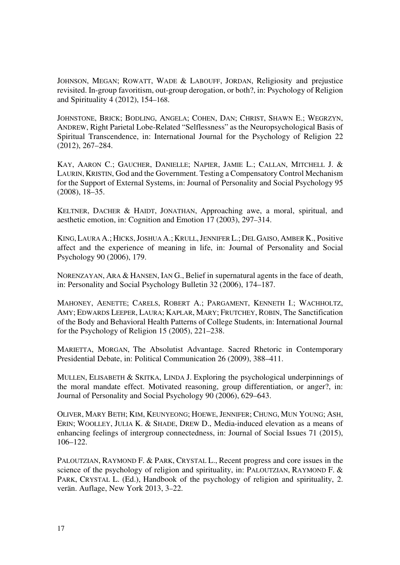JOHNSON, MEGAN; ROWATT, WADE & LABOUFF, JORDAN, Religiosity and prejustice revisited. In-group favoritism, out-group derogation, or both?, in: Psychology of Religion and Spirituality 4 (2012), 154–168.

JOHNSTONE, BRICK; BODLING, ANGELA; COHEN, DAN; CHRIST, SHAWN E.; WEGRZYN, ANDREW, Right Parietal Lobe-Related "Selflessness" as the Neuropsychological Basis of Spiritual Transcendence, in: International Journal for the Psychology of Religion 22 (2012), 267–284.

KAY, AARON C.; GAUCHER, DANIELLE; NAPIER, JAMIE L.; CALLAN, MITCHELL J. & LAURIN, KRISTIN, God and the Government. Testing a Compensatory Control Mechanism for the Support of External Systems, in: Journal of Personality and Social Psychology 95 (2008), 18–35.

KELTNER, DACHER & HAIDT, JONATHAN, Approaching awe, a moral, spiritual, and aesthetic emotion, in: Cognition and Emotion 17 (2003), 297–314.

KING,LAURA A.; HICKS,JOSHUA A.; KRULL,JENNIFER L.; DEL GAISO, AMBER K., Positive affect and the experience of meaning in life, in: Journal of Personality and Social Psychology 90 (2006), 179.

NORENZAYAN, ARA & HANSEN, IAN G., Belief in supernatural agents in the face of death, in: Personality and Social Psychology Bulletin 32 (2006), 174–187.

MAHONEY, AENETTE; CARELS, ROBERT A.; PARGAMENT, KENNETH I.; WACHHOLTZ, AMY; EDWARDS LEEPER, LAURA; KAPLAR, MARY; FRUTCHEY, ROBIN, The Sanctification of the Body and Behavioral Health Patterns of College Students, in: International Journal for the Psychology of Religion 15 (2005), 221–238.

MARIETTA, MORGAN, The Absolutist Advantage. Sacred Rhetoric in Contemporary Presidential Debate, in: Political Communication 26 (2009), 388–411.

MULLEN, ELISABETH & SKITKA, LINDA J. Exploring the psychological underpinnings of the moral mandate effect. Motivated reasoning, group differentiation, or anger?, in: Journal of Personality and Social Psychology 90 (2006), 629–643.

OLIVER, MARY BETH; KIM, KEUNYEONG; HOEWE, JENNIFER; CHUNG, MUN YOUNG; ASH, ERIN; WOOLLEY, JULIA K. & SHADE, DREW D., Media-induced elevation as a means of enhancing feelings of intergroup connectedness, in: Journal of Social Issues 71 (2015), 106–122.

PALOUTZIAN, RAYMOND F. & PARK, CRYSTAL L., Recent progress and core issues in the science of the psychology of religion and spirituality, in: PALOUTZIAN, RAYMOND F. & PARK, CRYSTAL L. (Ed.), Handbook of the psychology of religion and spirituality, 2. verän. Auflage, New York 2013, 3–22.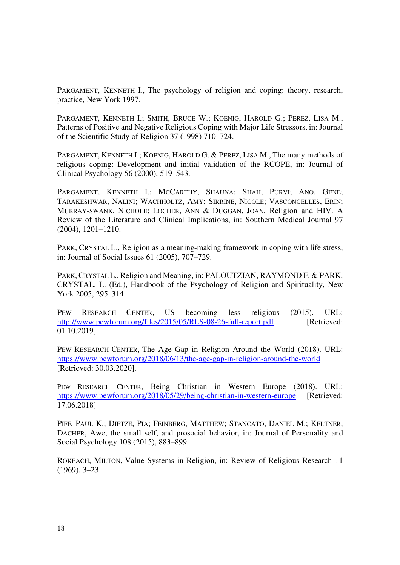PARGAMENT, KENNETH I., The psychology of religion and coping: theory, research, practice, New York 1997.

PARGAMENT, KENNETH I.; SMITH, BRUCE W.; KOENIG, HAROLD G.; PEREZ, LISA M., Patterns of Positive and Negative Religious Coping with Major Life Stressors, in: Journal of the Scientific Study of Religion 37 (1998) 710–724.

PARGAMENT, KENNETH I.; KOENIG, HAROLD G. & PEREZ, LISA M., The many methods of religious coping: Development and initial validation of the RCOPE, in: Journal of Clinical Psychology 56 (2000), 519–543.

PARGAMENT, KENNETH I.; MCCARTHY, SHAUNA; SHAH, PURVI; ANO, GENE; TARAKESHWAR, NALINI; WACHHOLTZ, AMY; SIRRINE, NICOLE; VASCONCELLES, ERIN; MURRAY-SWANK, NICHOLE; LOCHER, ANN & DUGGAN, JOAN, Religion and HIV. A Review of the Literature and Clinical Implications, in: Southern Medical Journal 97 (2004), 1201–1210.

PARK, CRYSTAL L., Religion as a meaning-making framework in coping with life stress, in: Journal of Social Issues 61 (2005), 707–729.

PARK, CRYSTAL L., Religion and Meaning, in: PALOUTZIAN, RAYMOND F. & PARK, CRYSTAL, L. (Ed.), Handbook of the Psychology of Religion and Spirituality, New York 2005, 295–314.

PEW RESEARCH CENTER, US becoming less religious (2015). URL: http://www.pewforum.org/files/2015/05/RLS-08-26-full-report.pdf [Retrieved: 01.10.2019].

PEW RESEARCH CENTER, The Age Gap in Religion Around the World (2018). URL: https://www.pewforum.org/2018/06/13/the-age-gap-in-religion-around-the-world [Retrieved: 30.03.2020].

PEW RESEARCH CENTER, Being Christian in Western Europe (2018). URL: https://www.pewforum.org/2018/05/29/being-christian-in-western-europe [Retrieved: 17.06.2018]

PIFF, PAUL K.; DIETZE, PIA; FEINBERG, MATTHEW; STANCATO, DANIEL M.; KELTNER, DACHER, Awe, the small self, and prosocial behavior, in: Journal of Personality and Social Psychology 108 (2015), 883–899.

ROKEACH, MILTON, Value Systems in Religion, in: Review of Religious Research 11 (1969), 3–23.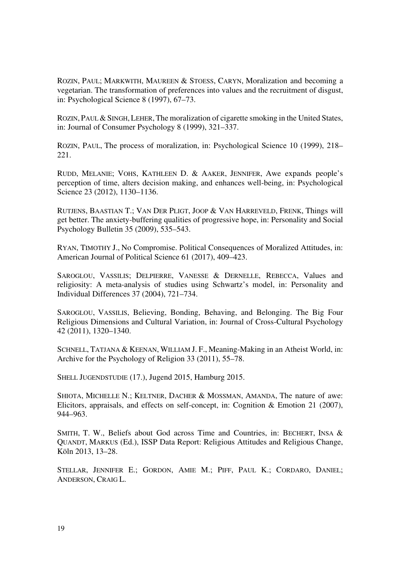ROZIN, PAUL; MARKWITH, MAUREEN & STOESS, CARYN, Moralization and becoming a vegetarian. The transformation of preferences into values and the recruitment of disgust, in: Psychological Science 8 (1997), 67–73.

ROZIN, PAUL & SINGH, LEHER, The moralization of cigarette smoking in the United States, in: Journal of Consumer Psychology 8 (1999), 321–337.

ROZIN, PAUL, The process of moralization, in: Psychological Science 10 (1999), 218– 221.

RUDD, MELANIE; VOHS, KATHLEEN D. & AAKER, JENNIFER, Awe expands people's perception of time, alters decision making, and enhances well-being, in: Psychological Science 23 (2012), 1130–1136.

RUTJENS, BAASTIAN T.; VAN DER PLIGT, JOOP & VAN HARREVELD, FRENK, Things will get better. The anxiety-buffering qualities of progressive hope, in: Personality and Social Psychology Bulletin 35 (2009), 535–543.

RYAN, TIMOTHY J., No Compromise. Political Consequences of Moralized Attitudes, in: American Journal of Political Science 61 (2017), 409–423.

SAROGLOU, VASSILIS; DELPIERRE, VANESSE & DERNELLE, REBECCA, Values and religiosity: A meta-analysis of studies using Schwartz's model, in: Personality and Individual Differences 37 (2004), 721–734.

SAROGLOU, VASSILIS, Believing, Bonding, Behaving, and Belonging. The Big Four Religious Dimensions and Cultural Variation, in: Journal of Cross-Cultural Psychology 42 (2011), 1320–1340.

SCHNELL, TATJANA & KEENAN, WILLIAM J. F., Meaning-Making in an Atheist World, in: Archive for the Psychology of Religion 33 (2011), 55–78.

SHELL JUGENDSTUDIE (17.), Jugend 2015, Hamburg 2015.

SHIOTA, MICHELLE N.; KELTNER, DACHER & MOSSMAN, AMANDA, The nature of awe: Elicitors, appraisals, and effects on self-concept, in: Cognition & Emotion 21 (2007), 944–963.

SMITH, T. W., Beliefs about God across Time and Countries, in: BECHERT, INSA & QUANDT, MARKUS (Ed.), ISSP Data Report: Religious Attitudes and Religious Change, Köln 2013, 13–28.

STELLAR, JENNIFER E.; GORDON, AMIE M.; PIFF, PAUL K.; CORDARO, DANIEL; ANDERSON, CRAIG L.